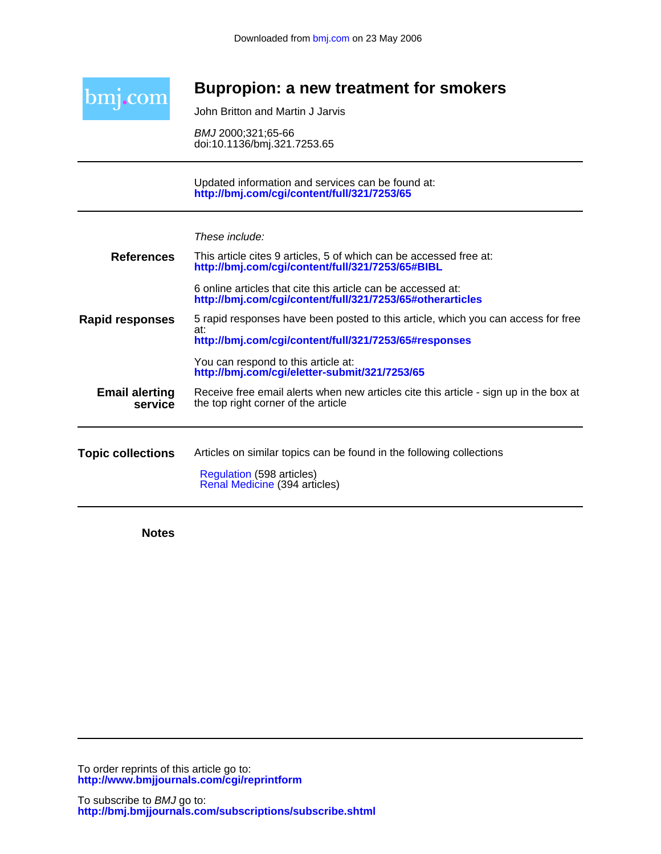

# **Bupropion: a new treatment for smokers**

John Britton and Martin J Jarvis

doi:10.1136/bmj.321.7253.65 BMJ 2000;321;65-66

**<http://bmj.com/cgi/content/full/321/7253/65>** Updated information and services can be found at:

| These include: |  |  |
|----------------|--|--|
|                |  |  |

|                                  | Regulation (598 articles)<br>Renal Medicine (394 articles)                                                                                        |
|----------------------------------|---------------------------------------------------------------------------------------------------------------------------------------------------|
| <b>Topic collections</b>         | Articles on similar topics can be found in the following collections                                                                              |
| <b>Email alerting</b><br>service | Receive free email alerts when new articles cite this article - sign up in the box at<br>the top right corner of the article                      |
|                                  | You can respond to this article at:<br>http://bmj.com/cgi/eletter-submit/321/7253/65                                                              |
| <b>Rapid responses</b>           | 5 rapid responses have been posted to this article, which you can access for free<br>at:<br>http://bmj.com/cgi/content/full/321/7253/65#responses |
|                                  | 6 online articles that cite this article can be accessed at:<br>http://bmj.com/cgi/content/full/321/7253/65#otherarticles                         |
| <b>References</b>                | This article cites 9 articles, 5 of which can be accessed free at:<br>http://bmj.com/cgi/content/full/321/7253/65#BIBL                            |

**Notes**

**<http://www.bmjjournals.com/cgi/reprintform>** To order reprints of this article go to: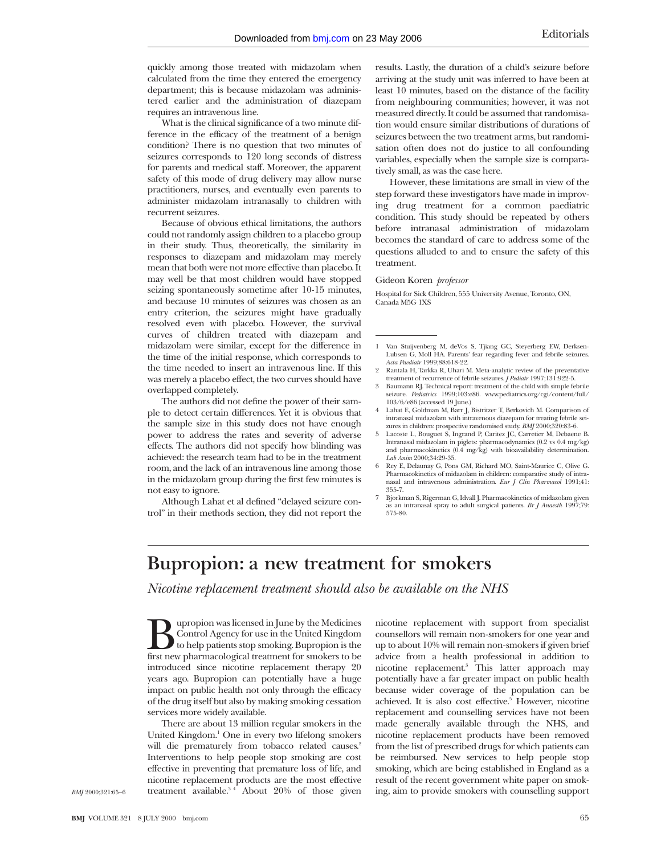quickly among those treated with midazolam when calculated from the time they entered the emergency department; this is because midazolam was administered earlier and the administration of diazepam requires an intravenous line.

What is the clinical significance of a two minute difference in the efficacy of the treatment of a benign condition? There is no question that two minutes of seizures corresponds to 120 long seconds of distress for parents and medical staff. Moreover, the apparent safety of this mode of drug delivery may allow nurse practitioners, nurses, and eventually even parents to administer midazolam intranasally to children with recurrent seizures.

Because of obvious ethical limitations, the authors could not randomly assign children to a placebo group in their study. Thus, theoretically, the similarity in responses to diazepam and midazolam may merely mean that both were not more effective than placebo. It may well be that most children would have stopped seizing spontaneously sometime after 10-15 minutes, and because 10 minutes of seizures was chosen as an entry criterion, the seizures might have gradually resolved even with placebo. However, the survival curves of children treated with diazepam and midazolam were similar, except for the difference in the time of the initial response, which corresponds to the time needed to insert an intravenous line. If this was merely a placebo effect, the two curves should have overlapped completely.

The authors did not define the power of their sample to detect certain differences. Yet it is obvious that the sample size in this study does not have enough power to address the rates and severity of adverse effects. The authors did not specify how blinding was achieved: the research team had to be in the treatment room, and the lack of an intravenous line among those in the midazolam group during the first few minutes is not easy to ignore.

Although Lahat et al defined "delayed seizure control" in their methods section, they did not report the results. Lastly, the duration of a child's seizure before arriving at the study unit was inferred to have been at least 10 minutes, based on the distance of the facility from neighbouring communities; however, it was not measured directly. It could be assumed that randomisation would ensure similar distributions of durations of seizures between the two treatment arms, but randomisation often does not do justice to all confounding variables, especially when the sample size is comparatively small, as was the case here.

However, these limitations are small in view of the step forward these investigators have made in improving drug treatment for a common paediatric condition. This study should be repeated by others before intranasal administration of midazolam becomes the standard of care to address some of the questions alluded to and to ensure the safety of this treatment.

#### Gideon Koren *professor*

Hospital for Sick Children, 555 University Avenue, Toronto, ON, Canada M5G 1XS

- 1 Van Stuijvenberg M, deVos S, Tjiang GC, Steyerberg EW, Derksen-Lubsen G, Moll HA. Parents' fear regarding fever and febrile seizures. *Acta Paediatr* 1999;88:618-22.
- 2 Rantala H, Tarkka R, Uhari M. Meta-analytic review of the preventative treatment of recurrence of febrile seizures. *J Pediatr* 1997;131:922-5.
- 3 Baumann RJ. Technical report: treatment of the child with simple febrile seizure. *Pediatrics* 1999;103:e86. www.pediatrics.org/cgi/content/full/ 103/6/e86 (accessed 19 June.)
- 4 Lahat E, Goldman M, Barr J, Bistritzer T, Berkovich M. Comparison of intranasal midazolam with intravenous diazepam for treating febrile seizures in children: prospective randomised study. *BMJ* 2000;320:83-6.
- 5 Lacoste L, Bouguet S, Ingrand P, Caritez JC, Carretier M, Debaene B. Intranasal midazolam in piglets: pharmacodynamics (0.2 vs 0.4 mg/kg) and pharmacokinetics (0.4 mg/kg) with bioavailability determination. *Lab Anim* 2000;34:29-35.
- 6 Rey E, Delaunay G, Pons GM, Richard MO, Saint-Maurice C, Olive G. Pharmacokinetics of midazolam in children: comparative study of intra-nasal and intravenous administration. *Eur J Clin Pharmacol* 1991;41: 355-7.
- 7 Bjorkman S, Rigerman G, Idvall J. Pharmacokinetics of midazolam given as an intranasal spray to adult surgical patients. *Br J Anaesth* 1997;79: 575-80.

# **Bupropion: a new treatment for smokers**

*Nicotine replacement treatment should also be available on the NHS*

**Bupropion was licensed in June by the Medicines**<br>Control Agency for use in the United Kingdom<br>first new pharmacological treatment for smokers to be Control Agency for use in the United Kingdom to help patients stop smoking. Bupropion is the introduced since nicotine replacement therapy 20 years ago. Bupropion can potentially have a huge impact on public health not only through the efficacy of the drug itself but also by making smoking cessation services more widely available.

There are about 13 million regular smokers in the United Kingdom.1 One in every two lifelong smokers will die prematurely from tobacco related causes.<sup>2</sup> Interventions to help people stop smoking are cost effective in preventing that premature loss of life, and nicotine replacement products are the most effective treatment available. $34$  About 20% of those given

nicotine replacement with support from specialist counsellors will remain non-smokers for one year and up to about 10% will remain non-smokers if given brief advice from a health professional in addition to nicotine replacement.3 This latter approach may potentially have a far greater impact on public health because wider coverage of the population can be achieved. It is also cost effective.<sup>5</sup> However, nicotine replacement and counselling services have not been made generally available through the NHS, and nicotine replacement products have been removed from the list of prescribed drugs for which patients can be reimbursed. New services to help people stop smoking, which are being established in England as a result of the recent government white paper on smoking, aim to provide smokers with counselling support